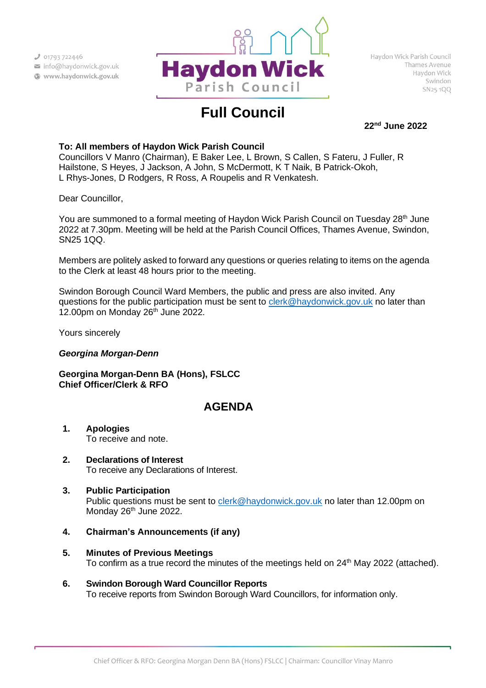

# **Full Council**

**22nd June 2022**

# **To: All members of Haydon Wick Parish Council**

Councillors V Manro (Chairman), E Baker Lee, L Brown, S Callen, S Fateru, J Fuller, R Hailstone, S Heyes, J Jackson, A John, S McDermott, K T Naik, B Patrick-Okoh, L Rhys-Jones, D Rodgers, R Ross, A Roupelis and R Venkatesh.

Dear Councillor,

You are summoned to a formal meeting of Haydon Wick Parish Council on Tuesday  $28<sup>th</sup>$  June 2022 at 7.30pm. Meeting will be held at the Parish Council Offices, Thames Avenue, Swindon, SN25 1QQ.

Members are politely asked to forward any questions or queries relating to items on the agenda to the Clerk at least 48 hours prior to the meeting.

Swindon Borough Council Ward Members, the public and press are also invited. Any questions for the public participation must be sent to [clerk@haydonwick.gov.uk](mailto:clerk@haydonwick.gov.uk) no later than 12.00pm on Monday  $26<sup>th</sup>$  June 2022.

Yours sincerely

# *Georgina Morgan-Denn*

**Georgina Morgan-Denn BA (Hons), FSLCC Chief Officer/Clerk & RFO**

# **AGENDA**

- **1. Apologies** To receive and note.
- **2. Declarations of Interest** To receive any Declarations of Interest.
- **3. Public Participation** Public questions must be sent to [clerk@haydonwick.gov.uk](mailto:clerk@haydonwick.gov.uk) no later than 12.00pm on Monday 26<sup>th</sup> June 2022.
- **4. Chairman's Announcements (if any)**
- **5. Minutes of Previous Meetings** To confirm as a true record the minutes of the meetings held on 24<sup>th</sup> May 2022 (attached).
- **6. Swindon Borough Ward Councillor Reports** To receive reports from Swindon Borough Ward Councillors, for information only.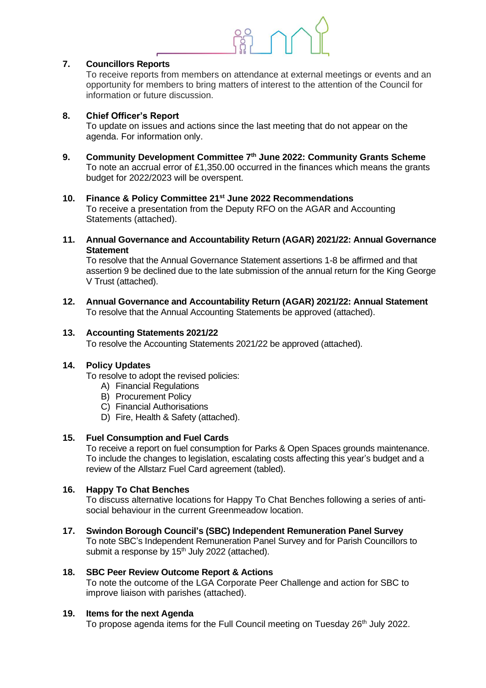

# **7. Councillors Reports**

To receive reports from members on attendance at external meetings or events and an opportunity for members to bring matters of interest to the attention of the Council for information or future discussion.

### **8. Chief Officer's Report**

To update on issues and actions since the last meeting that do not appear on the agenda. For information only.

**9. Community Development Committee 7 th June 2022: Community Grants Scheme** To note an accrual error of £1,350.00 occurred in the finances which means the grants budget for 2022/2023 will be overspent.

#### **10. Finance & Policy Committee 21st June 2022 Recommendations**

To receive a presentation from the Deputy RFO on the AGAR and Accounting Statements (attached).

**11. Annual Governance and Accountability Return (AGAR) 2021/22: Annual Governance Statement**

To resolve that the Annual Governance Statement assertions 1-8 be affirmed and that assertion 9 be declined due to the late submission of the annual return for the King George V Trust (attached).

**12. Annual Governance and Accountability Return (AGAR) 2021/22: Annual Statement** To resolve that the Annual Accounting Statements be approved (attached).

#### **13. Accounting Statements 2021/22**

To resolve the Accounting Statements 2021/22 be approved (attached).

### **14. Policy Updates**

To resolve to adopt the revised policies:

- A) Financial Regulations
- B) Procurement Policy
- C) Financial Authorisations
- D) Fire, Health & Safety (attached).

#### **15. Fuel Consumption and Fuel Cards**

To receive a report on fuel consumption for Parks & Open Spaces grounds maintenance. To include the changes to legislation, escalating costs affecting this year's budget and a review of the Allstarz Fuel Card agreement (tabled).

#### **16. Happy To Chat Benches**

To discuss alternative locations for Happy To Chat Benches following a series of antisocial behaviour in the current Greenmeadow location.

#### **17. Swindon Borough Council's (SBC) Independent Remuneration Panel Survey**

To note SBC's Independent Remuneration Panel Survey and for Parish Councillors to submit a response by 15<sup>th</sup> July 2022 (attached).

#### **18. SBC Peer Review Outcome Report & Actions**

To note the outcome of the LGA Corporate Peer Challenge and action for SBC to improve liaison with parishes (attached).

#### **19. Items for the next Agenda**

To propose agenda items for the Full Council meeting on Tuesday 26<sup>th</sup> July 2022.